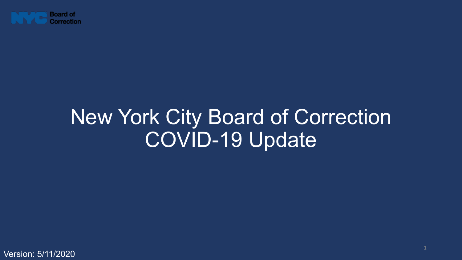

## New York City Board of Correction COVID-19 Update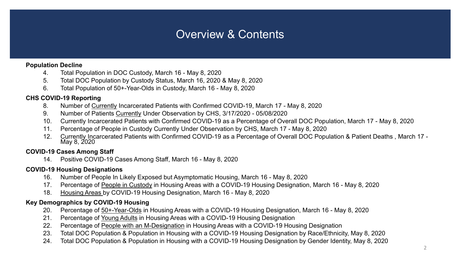### Overview & Contents

#### **Population Decline**

- 4. Total Population in DOC Custody, March 16 May 8, 2020
- 5. Total DOC Population by Custody Status, March 16, 2020 & May 8, 2020
- 6. Total Population of 50+-Year-Olds in Custody, March 16 May 8, 2020

### **CHS COVID-19 Reporting**

- 8. Number of Currently Incarcerated Patients with Confirmed COVID-19, March 17 May 8, 2020
- 9. Number of Patients Currently Under Observation by CHS, 3/17/2020 05/08/2020
- 10. Currently Incarcerated Patients with Confirmed COVID-19 as a Percentage of Overall DOC Population, March 17 May 8, 2020
- 11. Percentage of People in Custody Currently Under Observation by CHS, March 17 May 8, 2020
- 12. Currently Incarcerated Patients with Confirmed COVID-19 as a Percentage of Overall DOC Population & Patient Deaths , March 17 May 8, 2020

### **COVID-19 Cases Among Staff**

14. Positive COVID-19 Cases Among Staff, March 16 - May 8, 2020

#### **COVID-19 Housing Designations**

- 16. Number of People In Likely Exposed but Asymptomatic Housing, March 16 May 8, 2020
- 17. Percentage of People in Custody in Housing Areas with a COVID-19 Housing Designation, March 16 May 8, 2020
- 18. Housing Areas by COVID-19 Housing Designation, March 16 May 8, 2020

#### **Key Demographics by COVID-19 Housing**

- 20. Percentage of 50+-Year-Olds in Housing Areas with a COVID-19 Housing Designation, March 16 May 8, 2020
- 21. Percentage of Young Adults in Housing Areas with a COVID-19 Housing Designation
- 22. Percentage of People with an M-Designation in Housing Areas with a COVID-19 Housing Designation
- 23. Total DOC Population & Population in Housing with a COVID-19 Housing Designation by Race/Ethnicity, May 8, 2020
- 24. Total DOC Population & Population in Housing with a COVID-19 Housing Designation by Gender Identity, May 8, 2020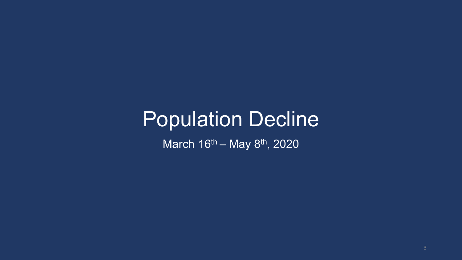## Population Decline

March 16<sup>th</sup> – May 8<sup>th</sup>, 2020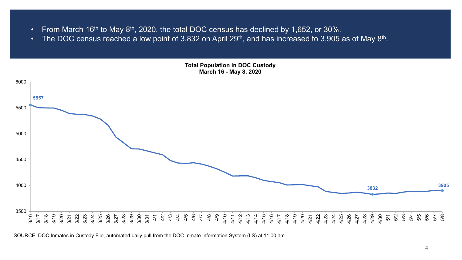- From March 16<sup>th</sup> to May  $8<sup>th</sup>$ , 2020, the total DOC census has declined by 1,652, or 30%.
- The DOC census reached a low point of 3,832 on April 29<sup>th</sup>, and has increased to 3,905 as of May 8<sup>th</sup>.



SOURCE: DOC Inmates in Custody File, automated daily pull from the DOC Inmate Information System (IIS) at 11:00 am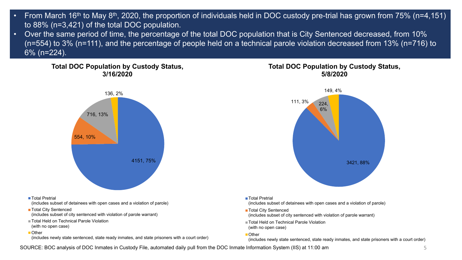- From March 16<sup>th</sup> to May 8<sup>th</sup>, 2020, the proportion of individuals held in DOC custody pre-trial has grown from 75% (n=4,151) to 88% (n=3,421) of the total DOC population.
- Over the same period of time, the percentage of the total DOC population that is City Sentenced decreased, from 10% (n=554) to 3% (n=111), and the percentage of people held on a technical parole violation decreased from 13% (n=716) to 6% (n=224).

**Total DOC Population by Custody Status, 3/16/2020**



#### ■Total Pretrial

(includes subset of detainees with open cases and a violation of parole)

- Total City Sentenced
- (includes subset of city sentenced with violation of parole warrant)
- Total Held on Technical Parole Violation
- (with no open case)

#### ■Other

(includes newly state sentenced, state ready inmates, and state prisoners with a court order)

### **Total DOC Population by Custody Status, 5/8/2020**



■ Total Pretrial

(includes subset of detainees with open cases and a violation of parole)

- Total City Sentenced
- (includes subset of city sentenced with violation of parole warrant)
- Total Held on Technical Parole Violation (with no open case)

#### ■ Other

(includes newly state sentenced, state ready inmates, and state prisoners with a court order)

SOURCE: BOC analysis of DOC Inmates in Custody File, automated daily pull from the DOC Inmate Information System (IIS) at 11:00 am 5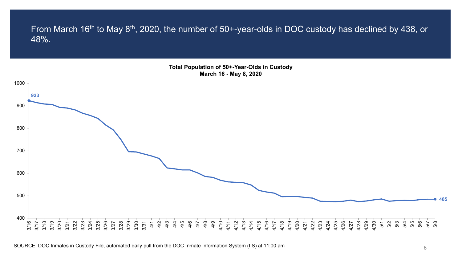From March 16<sup>th</sup> to May 8<sup>th</sup>, 2020, the number of 50+-year-olds in DOC custody has declined by 438, or 48%.

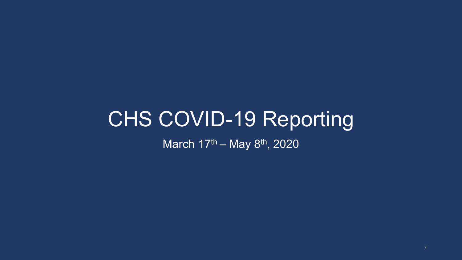# CHS COVID-19 Reporting

March 17<sup>th</sup> – May 8<sup>th</sup>, 2020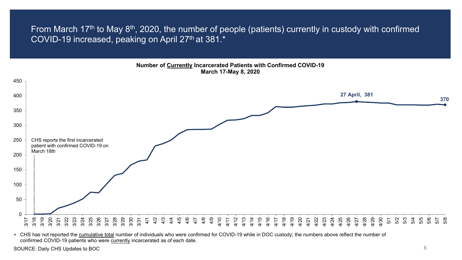From March 17th to May 8th, 2020, the number of people (patients) currently in custody with confirmed COVID-19 increased, peaking on April 27<sup>th</sup> at 381.\*

#### **Number of Currently Incarcerated Patients with Confirmed COVID-19 March 17-May 8, 2020**



∗ CHS has not reported the cumulative total number of individuals who were confirmed for COVID-19 while in DOC custody; the numbers above reflect the number of confirmed COVID-19 patients who were currently incarcerated as of each date.

SOURCE: Daily CHS Updates to BOC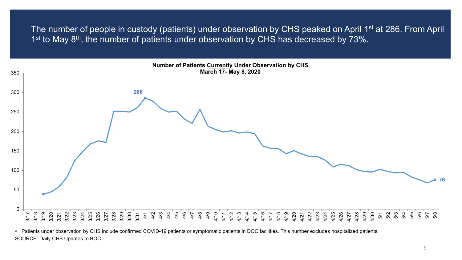The number of people in custody (patients) under observation by CHS peaked on April 1<sup>st</sup> at 286. From April 1<sup>st</sup> to May 8<sup>th</sup>, the number of patients under observation by CHS has decreased by 73%.



SOURCE: Daily CHS Updates to BOC ∗ Patients under observation by CHS include confirmed COVID-19 patients or symptomatic patients in DOC facilities. This number excludes hospitalized patients.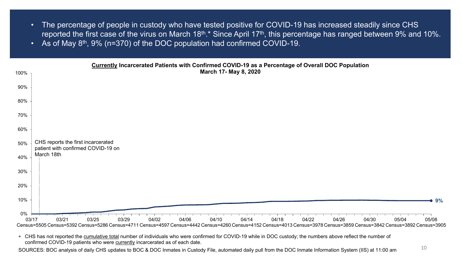- The percentage of people in custody who have tested positive for COVID-19 has increased steadily since CHS reported the first case of the virus on March 18<sup>th</sup>.\* Since April 17<sup>th</sup>, this percentage has ranged between 9% and 10%.
- As of May  $8<sup>th</sup>$ , 9% (n=370) of the DOC population had confirmed COVID-19.



∗ CHS has not reported the cumulative total number of individuals who were confirmed for COVID-19 while in DOC custody; the numbers above reflect the number of confirmed COVID-19 patients who were currently incarcerated as of each date.

SOURCES: BOC analysis of daily CHS updates to BOC & DOC Inmates in Custody File, automated daily pull from the DOC Inmate Information System (IIS) at 11:00 am  $10$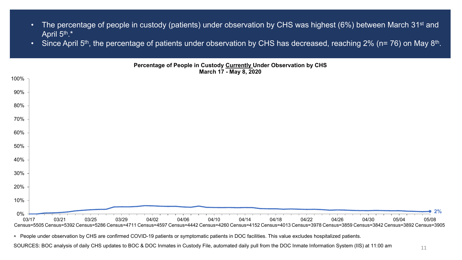- The percentage of people in custody (patients) under observation by CHS was highest (6%) between March 31<sup>st</sup> and April 5<sup>th</sup>.\*
- Since April 5<sup>th</sup>, the percentage of patients under observation by CHS has decreased, reaching 2% (n= 76) on May 8<sup>th</sup>.



∗ People under observation by CHS are confirmed COVID-19 patients or symptomatic patients in DOC facilities. This value excludes hospitalized patients.

SOURCES: BOC analysis of daily CHS updates to BOC & DOC Inmates in Custody File, automated daily pull from the DOC Inmate Information System (IIS) at 11:00 am  $11$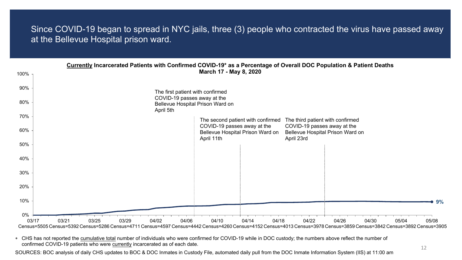### Since COVID-19 began to spread in NYC jails, three (3) people who contracted the virus have passed away at the Bellevue Hospital prison ward.

| 100%        | Currently Incarcerated Patients with Confirmed COVID-19* as a Percentage of Overall DOC Population & Patient Deaths                                                     | March 17 - May 8, 2020                                           |                |                                                                 |       |       |       |       |
|-------------|-------------------------------------------------------------------------------------------------------------------------------------------------------------------------|------------------------------------------------------------------|----------------|-----------------------------------------------------------------|-------|-------|-------|-------|
| 90%         | The first patient with confirmed                                                                                                                                        |                                                                  |                |                                                                 |       |       |       |       |
| 80%         | April 5th                                                                                                                                                               | COVID-19 passes away at the<br>Bellevue Hospital Prison Ward on  |                |                                                                 |       |       |       |       |
| 70%         |                                                                                                                                                                         | The second patient with confirmed<br>COVID-19 passes away at the |                | The third patient with confirmed<br>COVID-19 passes away at the |       |       |       |       |
| 60%         |                                                                                                                                                                         | Bellevue Hospital Prison Ward on<br>April 11th                   |                | Bellevue Hospital Prison Ward on<br>April 23rd                  |       |       |       |       |
| 50%         |                                                                                                                                                                         |                                                                  |                |                                                                 |       |       |       |       |
| 40%<br>30%  |                                                                                                                                                                         |                                                                  |                |                                                                 |       |       |       |       |
| 20%         |                                                                                                                                                                         |                                                                  |                |                                                                 |       |       |       |       |
| 10%         |                                                                                                                                                                         |                                                                  |                |                                                                 |       |       |       | 9%    |
| 0%<br>03/17 | 03/21<br>03/25<br>03/29<br>04/06<br>04/02                                                                                                                               | 04/10                                                            | 04/18<br>04/14 | 04/22                                                           | 04/26 | 04/30 | 05/04 | 05/08 |
|             | Census=5505 Census=5392 Census=5286 Census=4711 Census=4597 Census=4442 Census=4260 Census=4152 Census=4013 Census=3978 Census=3859 Census=3842 Census=3892 Census=3905 |                                                                  |                |                                                                 |       |       |       |       |

∗ CHS has not reported the cumulative total number of individuals who were confirmed for COVID-19 while in DOC custody; the numbers above reflect the number of confirmed COVID-19 patients who were currently incarcerated as of each date.

SOURCES: BOC analysis of daily CHS updates to BOC & DOC Inmates in Custody File, automated daily pull from the DOC Inmate Information System (IIS) at 11:00 am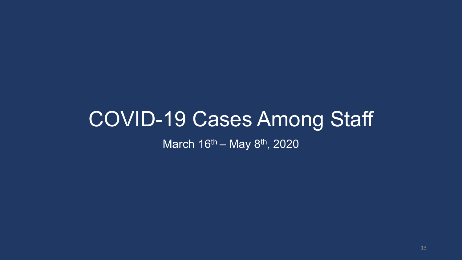## COVID-19 Cases Among Staff March 16<sup>th</sup> – May 8<sup>th</sup>, 2020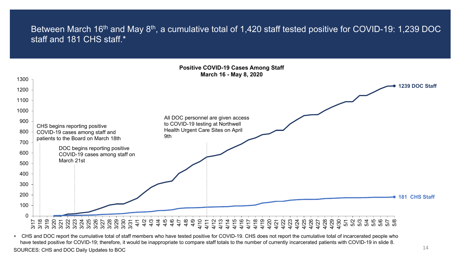### Between March 16<sup>th</sup> and May 8<sup>th</sup>, a cumulative total of 1,420 staff tested positive for COVID-19: 1,239 DOC staff and 181 CHS staff.\*



∗ CHS and DOC report the cumulative total of staff members who have tested positive for COVID-19. CHS does not report the cumulative total of incarcerated people who have tested positive for COVID-19; therefore, it would be inappropriate to compare staff totals to the number of currently incarcerated patients with COVID-19 in slide 8. SOURCES: CHS and DOC Daily Updates to BOC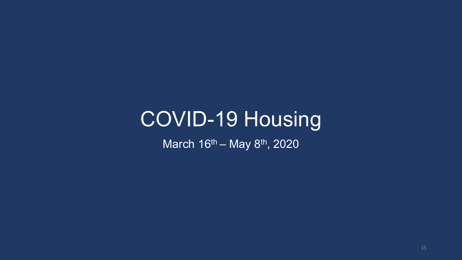## COVID-19 Housing

March 16<sup>th</sup> – May 8<sup>th</sup>, 2020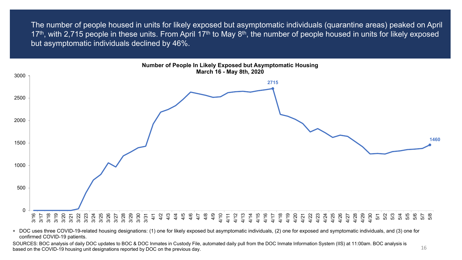The number of people housed in units for likely exposed but asymptomatic individuals (quarantine areas) peaked on April 17<sup>th</sup>, with 2,715 people in these units. From April 17<sup>th</sup> to May 8<sup>th</sup>, the number of people housed in units for likely exposed but asymptomatic individuals declined by 46%.



∗ DOC uses three COVID-19-related housing designations: (1) one for likely exposed but asymptomatic individuals, (2) one for exposed and symptomatic individuals, and (3) one for confirmed COVID-19 patients.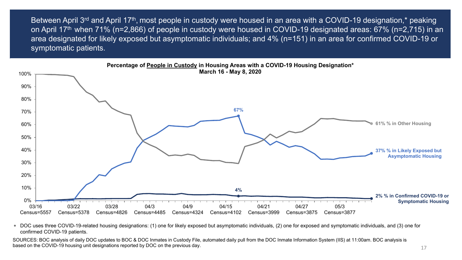Between April 3<sup>rd</sup> and April 17<sup>th</sup>, most people in custody were housed in an area with a COVID-19 designation,<sup>\*</sup> peaking on April 17<sup>th</sup> when 71% (n=2,866) of people in custody were housed in COVID-19 designated areas: 67% (n=2,715) in an area designated for likely exposed but asymptomatic individuals; and 4% (n=151) in an area for confirmed COVID-19 or symptomatic patients.



∗ DOC uses three COVID-19-related housing designations: (1) one for likely exposed but asymptomatic individuals, (2) one for exposed and symptomatic individuals, and (3) one for confirmed COVID-19 patients.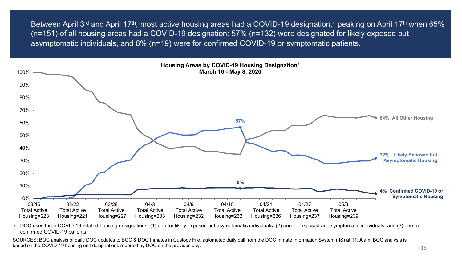Between April 3<sup>rd</sup> and April 17<sup>th</sup>, most active housing areas had a COVID-19 designation,<sup>\*</sup> peaking on April 17<sup>th</sup> when 65% (n=151) of all housing areas had a COVID-19 designation: 57% (n=132) were designated for likely exposed but asymptomatic individuals, and 8% (n=19) were for confirmed COVID-19 or symptomatic patients.



∗ DOC uses three COVID-19-related housing designations: (1) one for likely exposed but asymptomatic individuals, (2) one for exposed and symptomatic individuals, and (3) one for confirmed COVID-19 patients.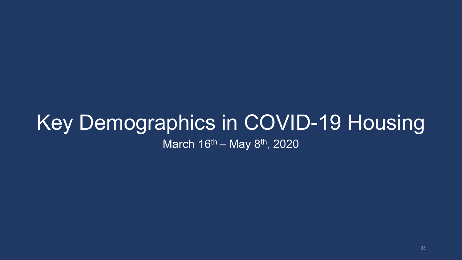### Key Demographics in COVID-19 Housing March  $16^{th}$  – May  $8^{th}$ , 2020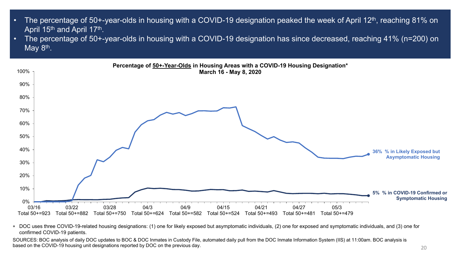- The percentage of 50+-year-olds in housing with a COVID-19 designation peaked the week of April 12<sup>th</sup>, reaching 81% on April 15<sup>th</sup> and April 17<sup>th</sup>.
- The percentage of 50+-year-olds in housing with a COVID-19 designation has since decreased, reaching 41% (n=200) on May  $8<sup>th</sup>$ .



∗ DOC uses three COVID-19-related housing designations: (1) one for likely exposed but asymptomatic individuals, (2) one for exposed and symptomatic individuals, and (3) one for confirmed COVID-19 patients.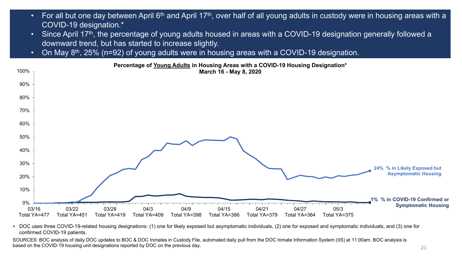- For all but one day between April 6<sup>th</sup> and April 17<sup>th</sup>, over half of all young adults in custody were in housing areas with a COVID-19 designation.\*
- Since April 17<sup>th</sup>, the percentage of young adults housed in areas with a COVID-19 designation generally followed a downward trend, but has started to increase slightly.
- On May  $8<sup>th</sup>$ , 25% (n=92) of young adults were in housing areas with a COVID-19 designation.



∗ DOC uses three COVID-19-related housing designations: (1) one for likely exposed but asymptomatic individuals, (2) one for exposed and symptomatic individuals, and (3) one for confirmed COVID-19 patients.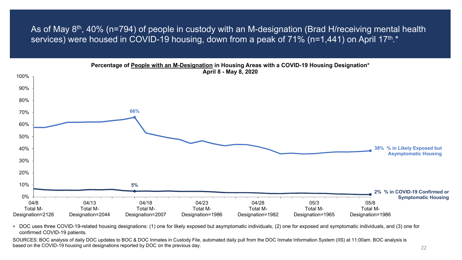As of May 8<sup>th</sup>, 40% (n=794) of people in custody with an M-designation (Brad H/receiving mental health services) were housed in COVID-19 housing, down from a peak of 71% (n=1,441) on April 17<sup>th</sup>.<sup>\*</sup>

![](_page_21_Figure_1.jpeg)

∗ DOC uses three COVID-19-related housing designations: (1) one for likely exposed but asymptomatic individuals, (2) one for exposed and symptomatic individuals, and (3) one for confirmed COVID-19 patients.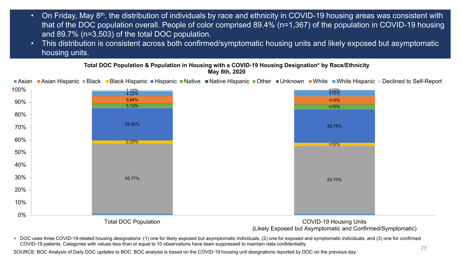- On Friday, May 8th, the distribution of individuals by race and ethnicity in COVID-19 housing areas was consistent with that of the DOC population overall. People of color comprised 89.4% (n=1,367) of the population in COVID-19 housing and 89.7% (n=3,503) of the total DOC population.
- This distribution is consistent across both confirmed/symptomatic housing units and likely exposed but asymptomatic housing units.

**Total DOC Population & Population in Housing with a COVID-19 Housing Designation\* by Race/Ethnicity May 8th, 2020**

**Asian Asian Hispanic Black Black Hispanic Hispanic Native Native Hispanic Other Dunknown Nite White Hispanic Declined to Self-Report** 

![](_page_22_Figure_4.jpeg)

(Likely Exposed but Asymptomatic and Confirmed/Symptomatic)

∗ DOC uses three COVID-19-related housing designations: (1) one for likely exposed but asymptomatic individuals, (2) one for exposed and symptomatic individuals, and (3) one for confirmed COVID-19 patients. Categories with values less than or equal to 10 observations have been suppressed to maintain data confidentiality

SOURCE: BOC Analysis of Daily DOC updates to BOC. BOC analysis is based on the COVID-19 housing unit designations reported by DOC on the previous day.